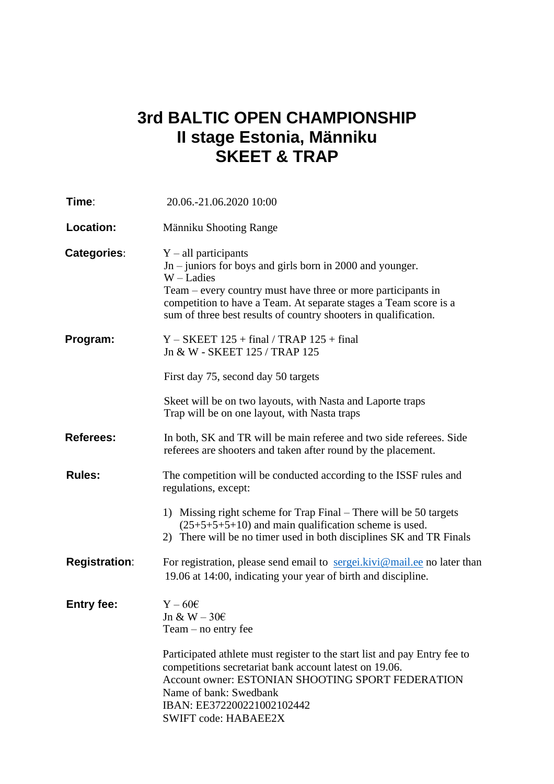## **3rd BALTIC OPEN CHAMPIONSHIP II stage Estonia, Männiku SKEET & TRAP**

| Time∶                | 20.06.-21.06.2020 10:00                                                                                                                                                                                                                                                                                      |
|----------------------|--------------------------------------------------------------------------------------------------------------------------------------------------------------------------------------------------------------------------------------------------------------------------------------------------------------|
| <b>Location:</b>     | Männiku Shooting Range                                                                                                                                                                                                                                                                                       |
| Categories:          | $Y - all$ participants<br>$Jn$ – juniors for boys and girls born in 2000 and younger.<br>$W -$ Ladies<br>Team – every country must have three or more participants in<br>competition to have a Team. At separate stages a Team score is a<br>sum of three best results of country shooters in qualification. |
| Program:             | $Y - SKEET$ 125 + final / TRAP 125 + final<br>Jn & W - SKEET 125 / TRAP 125                                                                                                                                                                                                                                  |
|                      | First day 75, second day 50 targets                                                                                                                                                                                                                                                                          |
|                      | Skeet will be on two layouts, with Nasta and Laporte traps<br>Trap will be on one layout, with Nasta traps                                                                                                                                                                                                   |
| <b>Referees:</b>     | In both, SK and TR will be main referee and two side referees. Side<br>referees are shooters and taken after round by the placement.                                                                                                                                                                         |
| <b>Rules:</b>        | The competition will be conducted according to the ISSF rules and<br>regulations, except:                                                                                                                                                                                                                    |
|                      | 1) Missing right scheme for Trap Final – There will be 50 targets<br>$(25+5+5+5+10)$ and main qualification scheme is used.<br>2) There will be no timer used in both disciplines SK and TR Finals                                                                                                           |
| <b>Registration:</b> | For registration, please send email to $\frac{\text{seg}e}{\text{seg}e}$ . kivi@mail.ee no later than<br>19.06 at 14:00, indicating your year of birth and discipline.                                                                                                                                       |
| <b>Entry fee:</b>    | $Y - 60\varepsilon$<br>Jn & W $-306$<br>$Team - no entry fee$                                                                                                                                                                                                                                                |
|                      | Participated athlete must register to the start list and pay Entry fee to<br>competitions secretariat bank account latest on 19.06.<br>Account owner: ESTONIAN SHOOTING SPORT FEDERATION<br>Name of bank: Swedbank<br>IBAN: EE372200221002102442<br><b>SWIFT code: HABAEE2X</b>                              |